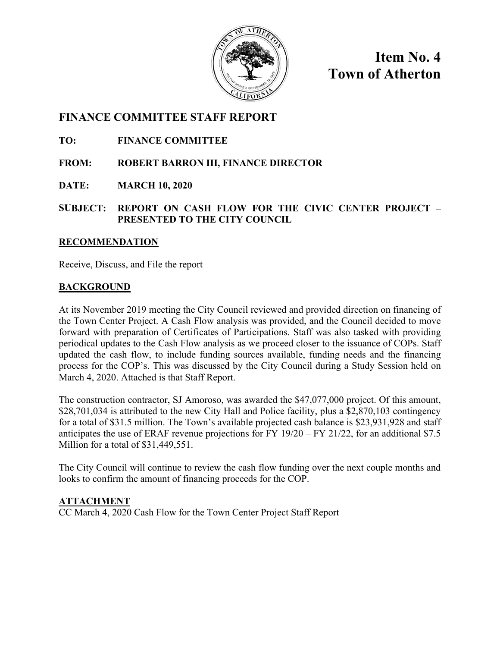

**Item No. 4 Town of Atherton** 

## **FINANCE COMMITTEE STAFF REPORT**

**TO: FINANCE COMMITTEE**

**FROM: ROBERT BARRON III, FINANCE DIRECTOR**

**DATE: MARCH 10, 2020** 

**SUBJECT: REPORT ON CASH FLOW FOR THE CIVIC CENTER PROJECT – PRESENTED TO THE CITY COUNCIL**

#### **RECOMMENDATION**

Receive, Discuss, and File the report

#### **BACKGROUND**

At its November 2019 meeting the City Council reviewed and provided direction on financing of the Town Center Project. A Cash Flow analysis was provided, and the Council decided to move forward with preparation of Certificates of Participations. Staff was also tasked with providing periodical updates to the Cash Flow analysis as we proceed closer to the issuance of COPs. Staff updated the cash flow, to include funding sources available, funding needs and the financing process for the COP's. This was discussed by the City Council during a Study Session held on March 4, 2020. Attached is that Staff Report.

The construction contractor, SJ Amoroso, was awarded the \$47,077,000 project. Of this amount, \$28,701,034 is attributed to the new City Hall and Police facility, plus a \$2,870,103 contingency for a total of \$31.5 million. The Town's available projected cash balance is \$23,931,928 and staff anticipates the use of ERAF revenue projections for FY 19/20 – FY 21/22, for an additional \$7.5 Million for a total of \$31,449,551.

The City Council will continue to review the cash flow funding over the next couple months and looks to confirm the amount of financing proceeds for the COP.

#### **ATTACHMENT**

CC March 4, 2020 Cash Flow for the Town Center Project Staff Report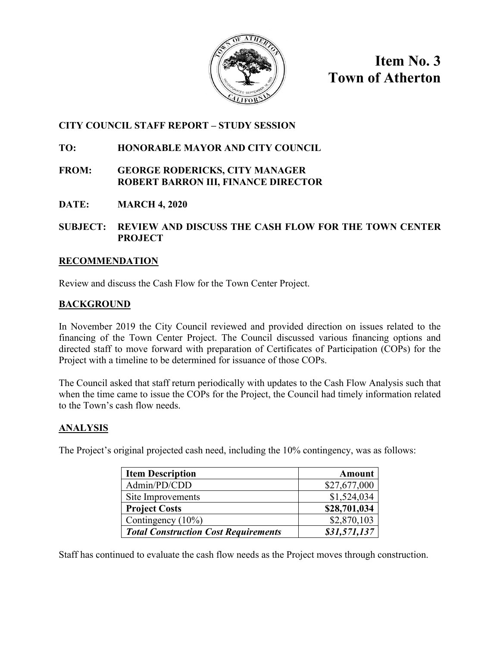

**Item No. 3 Town of Atherton**

## **CITY COUNCIL STAFF REPORT – STUDY SESSION**

## **TO: HONORABLE MAYOR AND CITY COUNCIL**

### **FROM: GEORGE RODERICKS, CITY MANAGER ROBERT BARRON III, FINANCE DIRECTOR**

**DATE: MARCH 4, 2020**

#### **SUBJECT: REVIEW AND DISCUSS THE CASH FLOW FOR THE TOWN CENTER PROJECT**

### **RECOMMENDATION**

Review and discuss the Cash Flow for the Town Center Project.

## **BACKGROUND**

In November 2019 the City Council reviewed and provided direction on issues related to the financing of the Town Center Project. The Council discussed various financing options and directed staff to move forward with preparation of Certificates of Participation (COPs) for the Project with a timeline to be determined for issuance of those COPs.

The Council asked that staff return periodically with updates to the Cash Flow Analysis such that when the time came to issue the COPs for the Project, the Council had timely information related to the Town's cash flow needs.

## **ANALYSIS**

The Project's original projected cash need, including the 10% contingency, was as follows:

| <b>Item Description</b>                     | <b>Amount</b> |
|---------------------------------------------|---------------|
| Admin/PD/CDD                                | \$27,677,000  |
| Site Improvements                           | \$1,524,034   |
| <b>Project Costs</b>                        | \$28,701,034  |
| Contingency (10%)                           | \$2,870,103   |
| <b>Total Construction Cost Requirements</b> | \$31,571,137  |

Staff has continued to evaluate the cash flow needs as the Project moves through construction.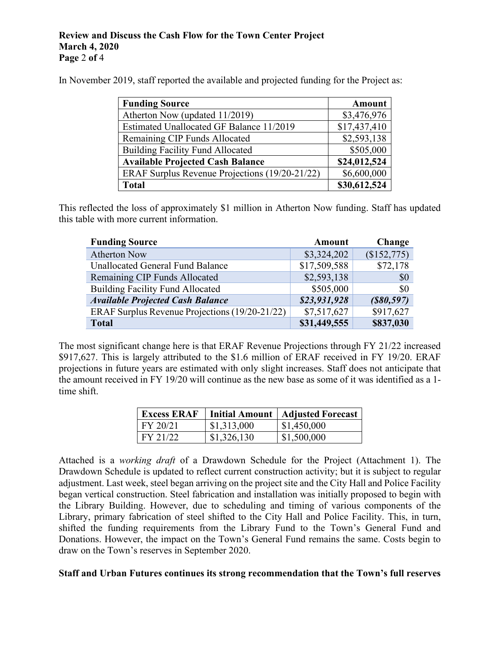#### **Review and Discuss the Cash Flow for the Town Center Project March 4, 2020 Page** 2 **of** 4

In November 2019, staff reported the available and projected funding for the Project as:

| <b>Funding Source</b>                          | <b>Amount</b> |
|------------------------------------------------|---------------|
| Atherton Now (updated 11/2019)                 | \$3,476,976   |
| Estimated Unallocated GF Balance 11/2019       | \$17,437,410  |
| Remaining CIP Funds Allocated                  | \$2,593,138   |
| <b>Building Facility Fund Allocated</b>        | \$505,000     |
| <b>Available Projected Cash Balance</b>        | \$24,012,524  |
| ERAF Surplus Revenue Projections (19/20-21/22) | \$6,600,000   |
| <b>Total</b>                                   | \$30,612,524  |

This reflected the loss of approximately \$1 million in Atherton Now funding. Staff has updated this table with more current information.

| <b>Funding Source</b>                          | Amount       | <b>Change</b> |
|------------------------------------------------|--------------|---------------|
| <b>Atherton Now</b>                            | \$3,324,202  | (\$152,775)   |
| Unallocated General Fund Balance               | \$17,509,588 | \$72,178      |
| Remaining CIP Funds Allocated                  | \$2,593,138  | \$0           |
| <b>Building Facility Fund Allocated</b>        | \$505,000    | \$0           |
| <b>Available Projected Cash Balance</b>        | \$23,931,928 | $($ \$80,597) |
| ERAF Surplus Revenue Projections (19/20-21/22) | \$7,517,627  | \$917,627     |
| <b>Total</b>                                   | \$31,449,555 | \$837,030     |

The most significant change here is that ERAF Revenue Projections through FY 21/22 increased \$917,627. This is largely attributed to the \$1.6 million of ERAF received in FY 19/20. ERAF projections in future years are estimated with only slight increases. Staff does not anticipate that the amount received in FY 19/20 will continue as the new base as some of it was identified as a 1 time shift.

| <b>Excess ERAF</b> |             | Initial Amount   Adjusted Forecast |
|--------------------|-------------|------------------------------------|
| FY 20/21           | \$1,313,000 | \$1,450,000                        |
| FY 21/22           | \$1,326,130 | \$1,500,000                        |

Attached is a *working draft* of a Drawdown Schedule for the Project (Attachment 1). The Drawdown Schedule is updated to reflect current construction activity; but it is subject to regular adjustment. Last week, steel began arriving on the project site and the City Hall and Police Facility began vertical construction. Steel fabrication and installation was initially proposed to begin with the Library Building. However, due to scheduling and timing of various components of the Library, primary fabrication of steel shifted to the City Hall and Police Facility. This, in turn, shifted the funding requirements from the Library Fund to the Town's General Fund and Donations. However, the impact on the Town's General Fund remains the same. Costs begin to draw on the Town's reserves in September 2020.

#### **Staff and Urban Futures continues its strong recommendation that the Town's full reserves**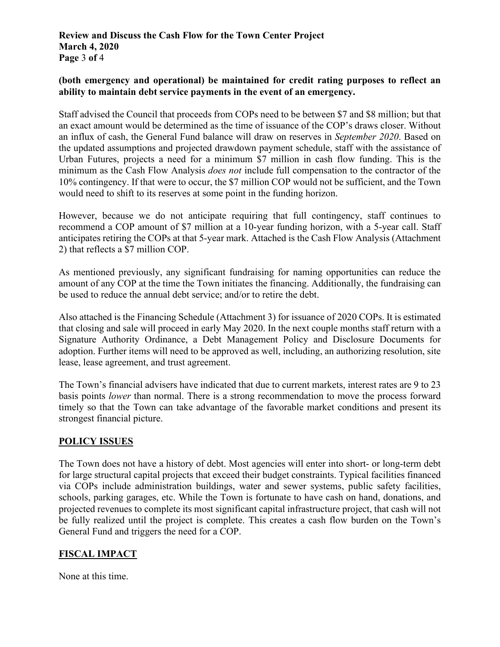#### **Review and Discuss the Cash Flow for the Town Center Project March 4, 2020 Page** 3 **of** 4

#### **(both emergency and operational) be maintained for credit rating purposes to reflect an ability to maintain debt service payments in the event of an emergency.**

Staff advised the Council that proceeds from COPs need to be between \$7 and \$8 million; but that an exact amount would be determined as the time of issuance of the COP's draws closer. Without an influx of cash, the General Fund balance will draw on reserves in *September 2020*. Based on the updated assumptions and projected drawdown payment schedule, staff with the assistance of Urban Futures, projects a need for a minimum \$7 million in cash flow funding. This is the minimum as the Cash Flow Analysis *does not* include full compensation to the contractor of the 10% contingency. If that were to occur, the \$7 million COP would not be sufficient, and the Town would need to shift to its reserves at some point in the funding horizon.

However, because we do not anticipate requiring that full contingency, staff continues to recommend a COP amount of \$7 million at a 10-year funding horizon, with a 5-year call. Staff anticipates retiring the COPs at that 5-year mark. Attached is the Cash Flow Analysis (Attachment 2) that reflects a \$7 million COP.

As mentioned previously, any significant fundraising for naming opportunities can reduce the amount of any COP at the time the Town initiates the financing. Additionally, the fundraising can be used to reduce the annual debt service; and/or to retire the debt.

Also attached is the Financing Schedule (Attachment 3) for issuance of 2020 COPs. It is estimated that closing and sale will proceed in early May 2020. In the next couple months staff return with a Signature Authority Ordinance, a Debt Management Policy and Disclosure Documents for adoption. Further items will need to be approved as well, including, an authorizing resolution, site lease, lease agreement, and trust agreement.

The Town's financial advisers have indicated that due to current markets, interest rates are 9 to 23 basis points *lower* than normal. There is a strong recommendation to move the process forward timely so that the Town can take advantage of the favorable market conditions and present its strongest financial picture.

#### **POLICY ISSUES**

The Town does not have a history of debt. Most agencies will enter into short- or long-term debt for large structural capital projects that exceed their budget constraints. Typical facilities financed via COPs include administration buildings, water and sewer systems, public safety facilities, schools, parking garages, etc. While the Town is fortunate to have cash on hand, donations, and projected revenues to complete its most significant capital infrastructure project, that cash will not be fully realized until the project is complete. This creates a cash flow burden on the Town's General Fund and triggers the need for a COP.

## **FISCAL IMPACT**

None at this time.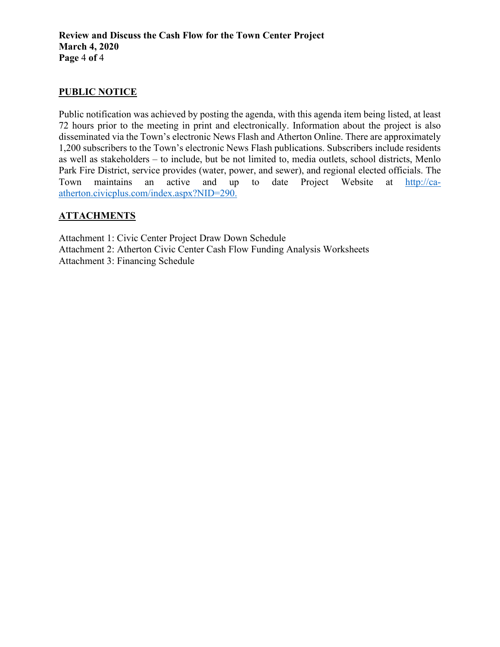#### **PUBLIC NOTICE**

Public notification was achieved by posting the agenda, with this agenda item being listed, at least 72 hours prior to the meeting in print and electronically. Information about the project is also disseminated via the Town's electronic News Flash and Atherton Online. There are approximately 1,200 subscribers to the Town's electronic News Flash publications. Subscribers include residents as well as stakeholders – to include, but be not limited to, media outlets, school districts, Menlo Park Fire District, service provides (water, power, and sewer), and regional elected officials. The Town maintains an active and up to date Project Website at [http://ca](http://ca-atherton.civicplus.com/index.aspx?NID=290)[atherton.civicplus.com/index.aspx?NID=290.](http://ca-atherton.civicplus.com/index.aspx?NID=290)

#### **ATTACHMENTS**

Attachment 1: Civic Center Project Draw Down Schedule Attachment 2: Atherton Civic Center Cash Flow Funding Analysis Worksheets Attachment 3: Financing Schedule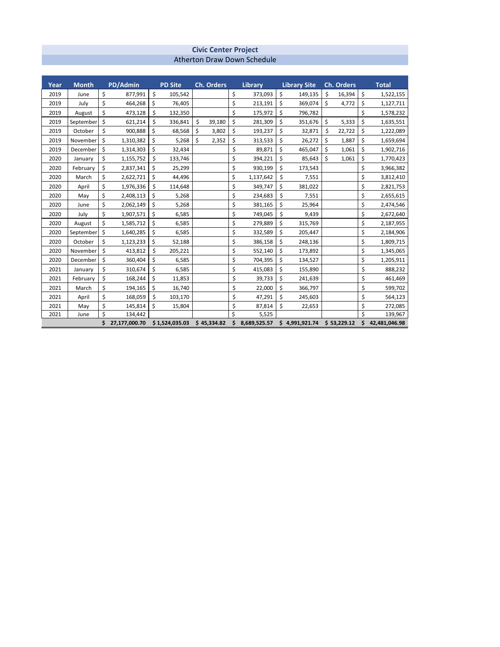#### **Civic Center Project** Atherton Draw Down Schedule

| Year | <b>Month</b> | PD/Admin            | <b>PD Site</b> | <b>Ch. Orders</b> |     | <b>Library</b> |    | <b>Library Site</b> |    | <b>Ch. Orders</b> | <b>Total</b>        |
|------|--------------|---------------------|----------------|-------------------|-----|----------------|----|---------------------|----|-------------------|---------------------|
| 2019 | June         | \$<br>877,991       | \$<br>105,542  |                   | \$  | 373,093        | \$ | 149,135             | Ś  | 16,394            | \$<br>1,522,155     |
| 2019 | July         | \$<br>464,268       | \$<br>76,405   |                   | \$  | 213,191        | \$ | 369,074             | Ś  | 4,772             | \$<br>1,127,711     |
| 2019 | August       | \$<br>473,128       | \$<br>132,350  |                   | \$  | 175,972        | \$ | 796,782             |    |                   | \$<br>1,578,232     |
| 2019 | September    | \$<br>621,214       | \$<br>336,841  | \$<br>39,180      | \$  | 281,309        | \$ | 351,676             | \$ | 5,333             | \$<br>1,635,551     |
| 2019 | October      | \$<br>900,888       | \$<br>68,568   | \$<br>3,802       | \$  | 193,237        | \$ | 32,871              | \$ | 22,722            | \$<br>1,222,089     |
| 2019 | November     | \$<br>1,310,382     | \$<br>5,268    | \$<br>2,352       | \$  | 313,533        | \$ | 26,272              | \$ | 1,887             | \$<br>1,659,694     |
| 2019 | December     | \$<br>1,314,303     | \$<br>32,434   |                   | \$  | 89,871         | \$ | 465,047             | \$ | 1,061             | \$<br>1,902,716     |
| 2020 | January      | \$<br>1,155,752     | \$<br>133,746  |                   | \$  | 394,221        | \$ | 85,643              | \$ | 1,061             | \$<br>1,770,423     |
| 2020 | February     | \$<br>2,837,341     | \$<br>25,299   |                   | \$  | 930,199        | \$ | 173,543             |    |                   | \$<br>3,966,382     |
| 2020 | March        | \$<br>2,622,721     | \$<br>44,496   |                   | \$  | 1,137,642      | \$ | 7,551               |    |                   | \$<br>3,812,410     |
| 2020 | April        | \$<br>1,976,336     | \$<br>114,648  |                   | \$  | 349,747        | \$ | 381,022             |    |                   | \$<br>2,821,753     |
| 2020 | May          | \$<br>2,408,113     | \$<br>5,268    |                   | \$  | 234,683        | \$ | 7,551               |    |                   | \$<br>2,655,615     |
| 2020 | June         | \$<br>2,062,149     | \$<br>5,268    |                   | \$  | 381,165        | \$ | 25,964              |    |                   | \$<br>2,474,546     |
| 2020 | July         | \$<br>1,907,571     | \$<br>6,585    |                   | \$  | 749,045        | \$ | 9,439               |    |                   | \$<br>2,672,640     |
| 2020 | August       | \$<br>1,585,712     | \$<br>6,585    |                   | \$  | 279,889        | \$ | 315,769             |    |                   | \$<br>2,187,955     |
| 2020 | September    | \$<br>1,640,285     | \$<br>6,585    |                   | \$  | 332,589        | \$ | 205,447             |    |                   | \$<br>2,184,906     |
| 2020 | October      | \$<br>1,123,233     | \$<br>52,188   |                   | \$  | 386,158        | \$ | 248,136             |    |                   | \$<br>1,809,715     |
| 2020 | November     | \$<br>413,812       | \$<br>205,221  |                   | \$  | 552,140        | \$ | 173,892             |    |                   | \$<br>1,345,065     |
| 2020 | December     | \$<br>360,404       | \$<br>6,585    |                   | \$  | 704,395        | \$ | 134,527             |    |                   | \$<br>1,205,911     |
| 2021 | January      | \$<br>310,674       | \$<br>6,585    |                   | \$  | 415,083        | \$ | 155,890             |    |                   | \$<br>888,232       |
| 2021 | February     | \$<br>168,244       | \$<br>11,853   |                   | \$  | 39,733         | \$ | 241,639             |    |                   | \$<br>461,469       |
| 2021 | March        | \$<br>194,165       | \$<br>16,740   |                   | \$  | 22,000         | Ś  | 366,797             |    |                   | \$<br>599,702       |
| 2021 | April        | \$<br>168,059       | \$<br>103,170  |                   | \$  | 47,291         | \$ | 245,603             |    |                   | \$<br>564,123       |
| 2021 | May          | \$<br>145,814       | \$<br>15,804   |                   | \$  | 87,814         | \$ | 22,653              |    |                   | \$<br>272,085       |
| 2021 | June         | \$<br>134,442       |                |                   | Ś   | 5,525          |    |                     |    |                   | \$<br>139,967       |
|      |              | \$<br>27,177,000.70 | \$1,524,035.03 | \$45,334.82       | \$. | 8,689,525.57   |    | \$4,991,921.74      |    | \$53,229.12       | \$<br>42,481,046.98 |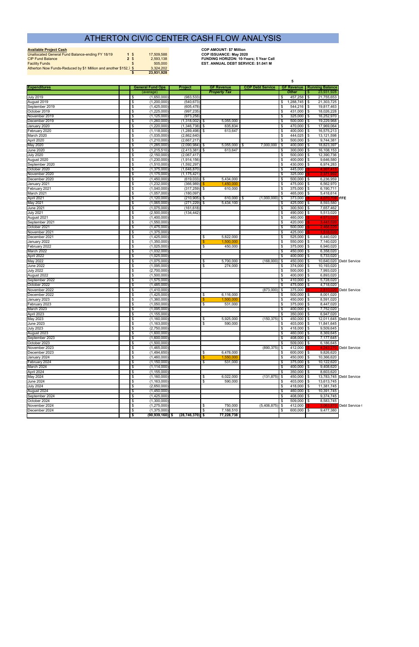| <b>Available Project Cash</b>                                    |               |            | <b>COP AMOUNT: \$7 Million</b>                |
|------------------------------------------------------------------|---------------|------------|-----------------------------------------------|
| Unallocated General Fund Balance-ending FY 18/19                 | $1 \text{ }$  | 17.509.588 | <b>COP ISSUANCE: May 2020</b>                 |
| <b>CIP Fund Balance</b>                                          | $2 \text{ }$  | 2.593.138  | <b>FUNDING HORIZON: 10-Years: 5 Year Call</b> |
| <b>Facility Funds</b>                                            | $\mathcal{S}$ | 505,000    | <b>EST. ANNUAL DEBT SERVICE: \$1.041 M</b>    |
| Atherton Now Funds-Reduced by \$1 Million and another \$152,7 \$ |               | 3.324.202  |                                               |
|                                                                  |               | 23.931.928 |                                               |

|                                |                                  |                            |                            |                        |                         | 5                                              |          |                                     |                         |  |  |  |  |  |
|--------------------------------|----------------------------------|----------------------------|----------------------------|------------------------|-------------------------|------------------------------------------------|----------|-------------------------------------|-------------------------|--|--|--|--|--|
| <b>Expenditures</b>            |                                  | <b>General Fund Ops</b>    | <b>Project</b>             | <b>GF Revenue</b>      | <b>COP Debt Service</b> |                                                |          | <b>GF Revenue   Running Balance</b> |                         |  |  |  |  |  |
|                                |                                  | (average)                  |                            | <b>Property Tax</b>    |                         | <b>Other</b>                                   |          | 23,931,928                          |                         |  |  |  |  |  |
| <b>July 2019</b>               | \$                               | (1,650,000)                | (983, 533)                 |                        |                         | 457,258<br>\$                                  | l \$     | 21,755,653                          |                         |  |  |  |  |  |
| August 2019                    | \$                               | (1, 200, 000)              | (540, 673)                 |                        |                         | \$<br>1,288,745 \$                             |          | 21,303,725                          |                         |  |  |  |  |  |
| September 2019                 | \$                               | (1,425,000)                | (605, 478)                 |                        |                         | 544,216 \$<br>\$                               |          | 19,817,463                          |                         |  |  |  |  |  |
| October 2019                   | \$                               | (1,225,000)                | (997, 235)                 |                        |                         | 431,000 \$<br>-\$                              |          | 18,026,228                          |                         |  |  |  |  |  |
| November 2019<br>December 2019 | \$                               | (1, 125, 000)              | (973, 258)                 | 5,055,000              |                         | 325,000 \$<br>-\$<br>\$<br>500,000 \$          |          | 16,252,970<br>19,229,968            |                         |  |  |  |  |  |
| January 2020                   | \$<br>\$                         | (1,260,000)<br>(1,220,000) | (1,318,002)<br>(1,346,738) | \$<br>835,834<br>\$    |                         | $470,000$ \$<br>\$                             |          | 17,969,064                          |                         |  |  |  |  |  |
| February 2020                  | \$                               | (1, 118, 000)              | (1.289.498)                | \$<br>613,647          |                         | \$<br>400,000 \$                               |          | 16,575,213                          |                         |  |  |  |  |  |
| March 2020                     | \$                               | (1,035,000)                | (2,862,640)                |                        |                         | 444,025 \$<br>\$                               |          | 13,121,598                          |                         |  |  |  |  |  |
| April 2020                     | \$                               | (1,210,000)                | (2,667,217)                |                        |                         | $500,000$ \$<br>-\$                            |          | 9,744,381                           |                         |  |  |  |  |  |
| May 2020                       | \$                               | (1,285,000)                | (2,090,984)                | \$<br>$5,055,000$   \$ | 7,000,000               | $400,000$ \$<br>l \$                           |          | 18,823,397                          |                         |  |  |  |  |  |
| June 2020                      | \$                               | (1,215,510)                | (2, 413, 381)              | 613,647<br>S.          |                         | \$<br>$300,000$ \$                             |          | 16,108,153                          |                         |  |  |  |  |  |
| <b>July 2020</b>               | $\overline{\mathcal{S}}$         | (2, 150, 000)              | (2,067,417)                |                        |                         | \$<br>$500,000$ \$                             |          | 12,390,736                          |                         |  |  |  |  |  |
| August 2020                    | $\overline{\mathcal{S}}$         | (1,230,000)                | (1,914,156)                |                        |                         | $\overline{\mathbf{S}}$<br>400,000 \$          |          | 9,646,580                           |                         |  |  |  |  |  |
| September 2020                 | \$                               | (1,510,000)                | (1,592,297)                |                        |                         | \$<br>430,000 \$                               |          | 6,974,283                           |                         |  |  |  |  |  |
| October 2020                   | -\$                              | (1,375,000)                | (1,646,870)                |                        |                         | -\$<br>445,000                                 |          | 4,397,41                            |                         |  |  |  |  |  |
| November 2020                  | \$                               | (1, 175, 000)              | (1,175,421)                |                        |                         | \$<br>325,000                                  |          | 2,371,992                           |                         |  |  |  |  |  |
| December 2020                  | \$                               | (1,450,000)                | $(619,033)$ \$             | 5,434,000              |                         | \$<br>$500,000$ \$                             |          | 6,236,959                           |                         |  |  |  |  |  |
| January 2021                   | \$                               | (1,232,000)                | (366,989)                  | 1,450,00               |                         | \$<br>475,000                                  | l \$     | 6,562,970                           |                         |  |  |  |  |  |
| February 2021                  | \$                               | (1,040,000)                | (317, 259)                 | 610,000<br>  \$        |                         | \$<br>375,000                                  | l \$     | 6,190,711                           |                         |  |  |  |  |  |
| March 2021                     | \$                               | (1,057,000)                | (180.097)                  |                        |                         | \$<br>465,000                                  | l \$     | 5,418,614                           |                         |  |  |  |  |  |
| April 2021                     | \$                               | (1, 120, 000)              | $(210,905)$ \$             | 610.000 \$             | $(1,000,000)$ \$        | 373,000                                        |          | 4,070,709                           | <b>FFE</b>              |  |  |  |  |  |
| May 2021                       | \$                               | (1,065,000)                | (271, 229)                 | \$<br>5,434,100        |                         | \$<br>425,000                                  | \$       | 8,593,580                           |                         |  |  |  |  |  |
| <b>June 2021</b>               | \$                               | (1,075,000)                | (161, 618)                 |                        |                         | \$<br>300,500                                  | l \$     | 7,657,462                           |                         |  |  |  |  |  |
| <b>July 2021</b>               | $\overline{\mathcal{S}}$         | (2,500,000)                | (134, 442)                 |                        |                         | \$<br>490.000                                  | l \$     | 5,513,020                           |                         |  |  |  |  |  |
| August 2021                    | \$                               | (1,400,000)                |                            |                        |                         | 460,000<br>\$                                  |          | 4.573.02                            |                         |  |  |  |  |  |
| September 2021                 | \$                               | (1,550,000)                |                            |                        |                         | \$<br>420,000                                  |          | 3,443,02                            |                         |  |  |  |  |  |
| October 2021                   | \$                               | (1,475,000)                |                            |                        |                         | \$<br>500,000                                  |          | 2.468.02                            |                         |  |  |  |  |  |
| November 2021                  | \$                               | (1,375,000)                |                            |                        |                         | \$<br>425,000                                  |          | 1,518,02                            |                         |  |  |  |  |  |
| December 2021                  | \$                               | (1,425,000)                |                            | 5,822,000<br>\$        |                         | 525,000 \$<br>\$                               |          | 6,440,020                           |                         |  |  |  |  |  |
| January 2022                   | \$                               | (1,350,000)                |                            | 1,500,000              |                         | \$<br>550,000                                  | l \$     | 7,140,020                           |                         |  |  |  |  |  |
| February 2022                  | \$                               | (1,025,000)                |                            | 450,000<br>\$          |                         | \$<br>375,000 \$                               |          | 6,940,020                           |                         |  |  |  |  |  |
| March 2022                     | \$<br>\$                         | (1,032,000)                |                            |                        |                         | \$<br>450,000<br>400,000 \$                    | l \$     | 6,358,020                           |                         |  |  |  |  |  |
| April 2022<br>May 2022         | \$                               | (1,025,000)<br>(1,075,000) |                            | 5,700,000<br>\$        | (168,000)               | \$<br>5 ا<br>450,000 \$                        |          | 5,733,020<br>10,640,020             | <b>Debt Service</b>     |  |  |  |  |  |
| June 2022                      | \$                               | (1,095,000)                |                            | \$<br>274,000          |                         | $374,000$ \$<br>\$                             |          | 10,193,020                          |                         |  |  |  |  |  |
| <b>July 2022</b>               | \$                               | (2,700,000)                |                            |                        |                         | \$<br>500,000                                  | <b>S</b> | 7,993,020                           |                         |  |  |  |  |  |
| August 2022                    | $\overline{\mathcal{S}}$         | (1,500,000)                |                            |                        |                         | \$<br>$400,000$ \$                             |          | 6,893,020                           |                         |  |  |  |  |  |
| September 2022                 | $\overline{\mathcal{S}}$         | (1,575,000)                |                            |                        |                         | \$<br>410,000 \$                               |          | 5,728,020                           |                         |  |  |  |  |  |
| October 2022                   | \$                               | (1,485,000)                |                            |                        |                         | \$<br>475,000 \$                               |          | 4,718,020                           |                         |  |  |  |  |  |
| November 2022                  | -\$                              | (1,410,000)                |                            |                        | $(873,000)$ \$          | 375,000                                        |          | 2.810                               | Debt Service            |  |  |  |  |  |
| December 2022                  | \$                               | (1,425,000)                |                            | \$<br>6,116,000        |                         | $500,000$ \$<br>-\$                            |          | 8,001,020                           |                         |  |  |  |  |  |
| January 2023                   | \$                               | (1,360,000)                |                            | 1,500,000              |                         | \$<br>450,000                                  | l \$     | 8,591,020                           |                         |  |  |  |  |  |
| February 2023                  | \$                               | (1,050,000)                |                            | 531,000<br>\$          |                         | \$<br>375,000                                  | \$       | 8,447,020                           |                         |  |  |  |  |  |
| March 2023                     | \$                               | (1,095,000)                |                            |                        |                         | -\$<br>400,000                                 | l \$     | 7,752,020                           |                         |  |  |  |  |  |
| April 2023                     | \$                               | (1, 155, 000)              |                            |                        |                         | -\$<br>350,000 \$                              |          | 6,947,020                           |                         |  |  |  |  |  |
| May 2023                       | \$                               | (1,160,000)                |                            | \$<br>5,925,000        | $(150, 375)$ \$         | $450,000$ \$                                   |          |                                     | 12,011,645 Debt Service |  |  |  |  |  |
| <b>June 2023</b>               | \$                               | (1, 163, 000)              |                            | \$<br>590,000          |                         | $403,000$ \$<br>\$                             |          | 11,841,645                          |                         |  |  |  |  |  |
| <b>July 2023</b>               | \$                               | (2,750,000)                |                            |                        |                         | \$<br>418,000 \$                               |          | 9,509,645                           |                         |  |  |  |  |  |
| August 2023                    | $\overline{\mathcal{S}}$         | (1,600,000)                |                            |                        |                         | \$<br>460,000 \$                               |          | 8,369,645                           |                         |  |  |  |  |  |
| September 2023                 | \$                               | (1,600,000)                |                            |                        |                         | \$<br>408,000 \$                               |          | 7,177,645                           |                         |  |  |  |  |  |
| October 2023                   | \$                               | (1,500,000)                |                            |                        |                         | $509,000$ \$<br>\$                             |          | 6,186,645                           |                         |  |  |  |  |  |
| November 2023                  | \$                               | (1,465,000)                |                            |                        | $(890, 375)$ \$         | 412,000                                        |          | 4.243.270                           | <b>Debt Service</b>     |  |  |  |  |  |
| December 2023                  | \$                               | (1,494,650)                |                            | 6,478,000<br>\$        |                         | $600,000$ \$<br>\$                             |          | 9,826,620                           |                         |  |  |  |  |  |
| January 2024                   | \$                               | (1,460,000)                |                            | 1,550,000              |                         | $450,000$ \$<br>$\frac{3}{2}$                  |          | 10,366,620                          |                         |  |  |  |  |  |
| February 2024                  | \$                               | (1, 150, 000)              |                            | \$<br>531,000          |                         | $\overline{\boldsymbol{\theta}}$<br>375,000 \$ |          | 10,122,620                          |                         |  |  |  |  |  |
| March 2024                     | \$                               | (1, 114, 000)              |                            |                        |                         | $400,000$ \$<br>\$                             |          | 9,408,620                           |                         |  |  |  |  |  |
| April 2024                     | \$                               | (1, 155, 000)              |                            |                        |                         | $350,000$ \$<br>\$                             |          | 8,603,620                           |                         |  |  |  |  |  |
| May 2024                       | \$                               | (1,160,000)                |                            | 6,022,000<br>\$        | $(131, 875)$ \$         | 450,000 \$                                     |          |                                     | 13,783,745 Debt Service |  |  |  |  |  |
| <b>June 2024</b>               | \$                               | (1, 163, 000)              |                            | 590,000<br>\$          |                         | 403,000 \$<br>\$                               |          | 13,613,745                          |                         |  |  |  |  |  |
| <b>July 2024</b>               | \$                               | (2,650,000)                |                            |                        |                         | $418,000$ \$<br>  \$                           |          | 11,381,745                          |                         |  |  |  |  |  |
| August 2024                    | \$                               | (1,450,000)                |                            |                        |                         | \$<br>460,000 \$                               |          | 10,391,745                          |                         |  |  |  |  |  |
| September 2024<br>October 2024 | $\boldsymbol{\theta}$<br>\$      | (1,425,000)                |                            |                        |                         | \$<br>408,000 \$<br>s,<br>$509,000$ \$         |          | 9,374,745<br>8,583,745              |                         |  |  |  |  |  |
| November 2024                  | $\overline{\boldsymbol{\theta}}$ | (1,300,000)<br>(1,275,000) |                            | 750,000<br>\$          | $(5,406,875)$ \$        | 412,000                                        |          | 3,063,870                           | Debt Service (          |  |  |  |  |  |
| December 2024                  | \$                               | (1,375,000)                |                            | 7,188,510<br>\$        |                         | $600,000$ \$<br>\$                             |          | 9,477,380                           |                         |  |  |  |  |  |
|                                | -\$                              | (90,939,160) \$            | $(28, 746, 370)$ \$        | 77,228,738             |                         |                                                |          |                                     |                         |  |  |  |  |  |
|                                |                                  |                            |                            |                        |                         |                                                |          |                                     |                         |  |  |  |  |  |

## ATHERTON CIVIC CENTER CASH FLOW ANALYSIS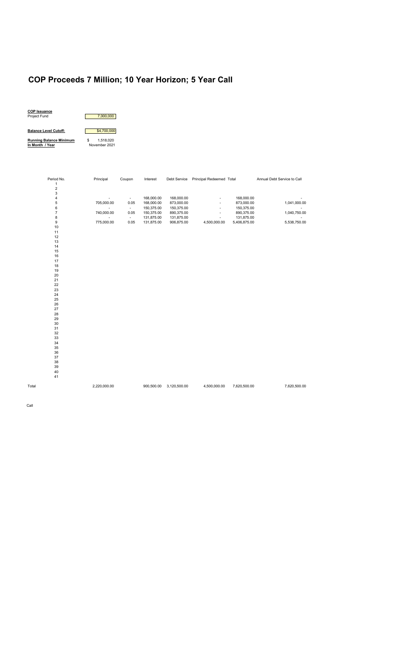# **COP Proceeds 7 Million; 10 Year Horizon; 5 Year Call**



| Period No.              | Principal                | Coupon   | Interest   | Debt Service | Principal Redeemed Total |              | Annual Debt Service to Call |
|-------------------------|--------------------------|----------|------------|--------------|--------------------------|--------------|-----------------------------|
| $\mathbf 1$             |                          |          |            |              |                          |              |                             |
| $\overline{\mathbf{c}}$ |                          |          |            |              |                          |              |                             |
| 3                       |                          |          |            |              |                          |              |                             |
| 4                       | $\blacksquare$           | $\sim$   | 168,000.00 | 168,000.00   |                          | 168,000.00   |                             |
| 5                       | 705,000.00               | 0.05     | 168,000.00 | 873,000.00   | $\overline{\phantom{a}}$ | 873,000.00   | 1,041,000.00                |
| 6                       |                          | $\sim$   | 150,375.00 | 150,375.00   | $\overline{\phantom{a}}$ | 150,375.00   |                             |
| $\overline{7}$          | 740,000.00               | $0.05\,$ | 150,375.00 | 890,375.00   | $\overline{\phantom{a}}$ | 890,375.00   | 1,040,750.00                |
| 8                       | $\overline{\phantom{a}}$ | $\sim$   | 131,875.00 | 131,875.00   | $\overline{\phantom{a}}$ | 131,875.00   | $\overline{\phantom{a}}$    |
| 9                       | 775,000.00               | $0.05\,$ | 131,875.00 | 906,875.00   | 4,500,000.00             | 5,406,875.00 | 5,538,750.00                |
| $10$                    |                          |          |            |              |                          |              |                             |
| 11                      |                          |          |            |              |                          |              |                             |
| 12                      |                          |          |            |              |                          |              |                             |
| $13$                    |                          |          |            |              |                          |              |                             |
| 14                      |                          |          |            |              |                          |              |                             |
| 15                      |                          |          |            |              |                          |              |                             |
| 16                      |                          |          |            |              |                          |              |                             |
| $17\,$                  |                          |          |            |              |                          |              |                             |
| 18                      |                          |          |            |              |                          |              |                             |
| 19                      |                          |          |            |              |                          |              |                             |
| $20\,$                  |                          |          |            |              |                          |              |                             |
| 21                      |                          |          |            |              |                          |              |                             |
| 22                      |                          |          |            |              |                          |              |                             |
| 23                      |                          |          |            |              |                          |              |                             |
| 24                      |                          |          |            |              |                          |              |                             |
| 25                      |                          |          |            |              |                          |              |                             |
| 26                      |                          |          |            |              |                          |              |                             |
| 27                      |                          |          |            |              |                          |              |                             |
| 28                      |                          |          |            |              |                          |              |                             |
| 29                      |                          |          |            |              |                          |              |                             |
| 30                      |                          |          |            |              |                          |              |                             |
| 31                      |                          |          |            |              |                          |              |                             |
| 32                      |                          |          |            |              |                          |              |                             |
| 33                      |                          |          |            |              |                          |              |                             |
| 34                      |                          |          |            |              |                          |              |                             |
| $35\,$                  |                          |          |            |              |                          |              |                             |
| 36                      |                          |          |            |              |                          |              |                             |
| 37                      |                          |          |            |              |                          |              |                             |
| 38                      |                          |          |            |              |                          |              |                             |
| $39\,$                  |                          |          |            |              |                          |              |                             |
| 40                      |                          |          |            |              |                          |              |                             |
| 41                      |                          |          |            |              |                          |              |                             |
| Total                   | 2,220,000.00             |          | 900,500.00 | 3,120,500.00 | 4,500,000.00             | 7,620,500.00 | 7,620,500.00                |
|                         |                          |          |            |              |                          |              |                             |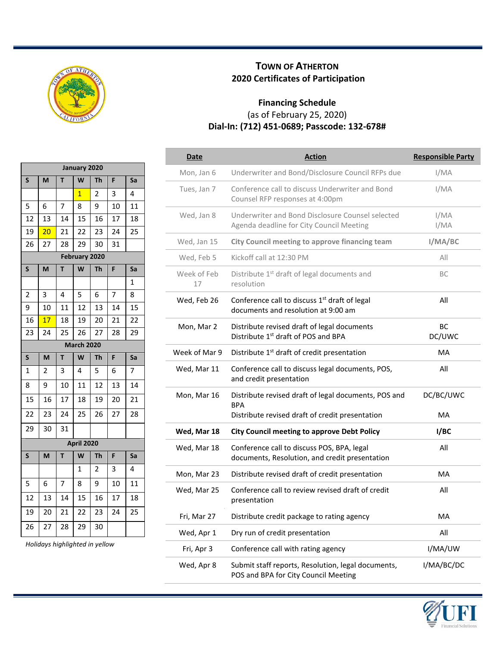

**January 2020 S M T W Th F Sa**

## **TOWN OF ATHERTON 2020 Certificates of Participation**

## **Financing Schedule** (as of February 25, 2020) **Dial-In: (712) 451-0689; Passcode: 132-678#**

| Date              | <b>Action</b>                                                                                    | <b>Responsible Party</b> |
|-------------------|--------------------------------------------------------------------------------------------------|--------------------------|
| Mon, Jan 6        | Underwriter and Bond/Disclosure Council RFPs due                                                 | I/MA                     |
| Tues, Jan 7       | Conference call to discuss Underwriter and Bond<br>Counsel RFP responses at 4:00pm               | I/MA                     |
| Wed, Jan 8        | Underwriter and Bond Disclosure Counsel selected<br>Agenda deadline for City Council Meeting     | I/MA<br>I/MA             |
| Wed, Jan 15       | City Council meeting to approve financing team                                                   | I/MA/BC                  |
| Wed, Feb 5        | Kickoff call at 12:30 PM                                                                         | All                      |
| Week of Feb<br>17 | Distribute 1 <sup>st</sup> draft of legal documents and<br>resolution                            | BC                       |
| Wed, Feb 26       | Conference call to discuss 1 <sup>st</sup> draft of legal<br>documents and resolution at 9:00 am | All                      |
| Mon, Mar 2        | Distribute revised draft of legal documents<br>Distribute 1 <sup>st</sup> draft of POS and BPA   | <b>BC</b><br>DC/UWC      |
| Week of Mar 9     | Distribute 1 <sup>st</sup> draft of credit presentation                                          | MA                       |
| Wed, Mar 11       | Conference call to discuss legal documents, POS,<br>and credit presentation                      | All                      |
| Mon, Mar 16       | Distribute revised draft of legal documents, POS and<br><b>BPA</b>                               | DC/BC/UWC                |
|                   | Distribute revised draft of credit presentation                                                  | MA                       |
| Wed, Mar 18       | <b>City Council meeting to approve Debt Policy</b>                                               | I/BC                     |
| Wed, Mar 18       | Conference call to discuss POS, BPA, legal<br>documents, Resolution, and credit presentation     | All                      |
| Mon, Mar 23       | Distribute revised draft of credit presentation                                                  | <b>MA</b>                |
| Wed, Mar 25       | Conference call to review revised draft of credit<br>presentation                                | All                      |
| Fri, Mar 27       | Distribute credit package to rating agency                                                       | MA                       |
| Wed, Apr 1        | Dry run of credit presentation                                                                   | All                      |
| Fri, Apr 3        | Conference call with rating agency                                                               | I/MA/UW                  |
| Wed, Apr 8        | Submit staff reports, Resolution, legal documents,<br>POS and BPA for City Council Meeting       | I/MA/BC/DC               |



| э  | <b>IVI</b>              |    | VV                | <u>in</u>               | r  | эa           |
|----|-------------------------|----|-------------------|-------------------------|----|--------------|
|    |                         |    | $\overline{1}$    | $\overline{\mathbf{c}}$ | 3  | 4            |
| 5  | 6                       | 7  | 8                 | 9                       | 10 | 11           |
| 12 | 13                      | 14 | 15                | 16                      | 17 | 18           |
| 19 | 20                      | 21 | 22                | 23                      | 24 | 25           |
| 26 | 27                      | 28 | 29                | 30                      | 31 |              |
|    |                         |    | February 2020     |                         |    |              |
| S  | M                       | T  | W                 | <b>Th</b>               | F  | Sa           |
|    |                         |    |                   |                         |    | $\mathbf{1}$ |
| 2  | 3                       | 4  | 5                 | 6                       | 7  | 8            |
| 9  | 10                      | 11 | 12                | 13                      | 14 | 15           |
| 16 | 17                      | 18 | 19                | 20                      | 21 | 22           |
| 23 | 24                      | 25 | 26                | 27                      | 28 | 29           |
|    |                         |    | <b>March 2020</b> |                         |    |              |
| S  | M                       | T  | W                 | Th                      | F  | Sa           |
| 1  | $\overline{\mathbf{c}}$ | 3  | 4                 | 5                       | 6  | 7            |
| 8  | 9                       | 10 | 11                | 12                      | 13 | 14           |
| 15 | 16                      | 17 | 18                | 19                      | 20 | 21           |
| 22 | 23                      | 24 | 25                | 26                      | 27 | 28           |
| 29 | 30                      | 31 |                   |                         |    |              |
|    |                         |    | April 2020        |                         |    |              |
| S  | M                       | T  | W                 | <b>Th</b>               | F  | Sa           |
|    |                         |    | 1                 | 2                       | 3  | 4            |
| 5  | 6                       | 7  | 8                 | 9                       | 10 | 11           |
| 12 | 13                      | 14 | 15                | 16                      | 17 | 18           |
| 19 | 20                      | 21 | 22                | 23                      | 24 | 25           |
| 26 | 27                      | 28 | 29                | 30                      |    |              |

*Holidays highlighted in yellow*